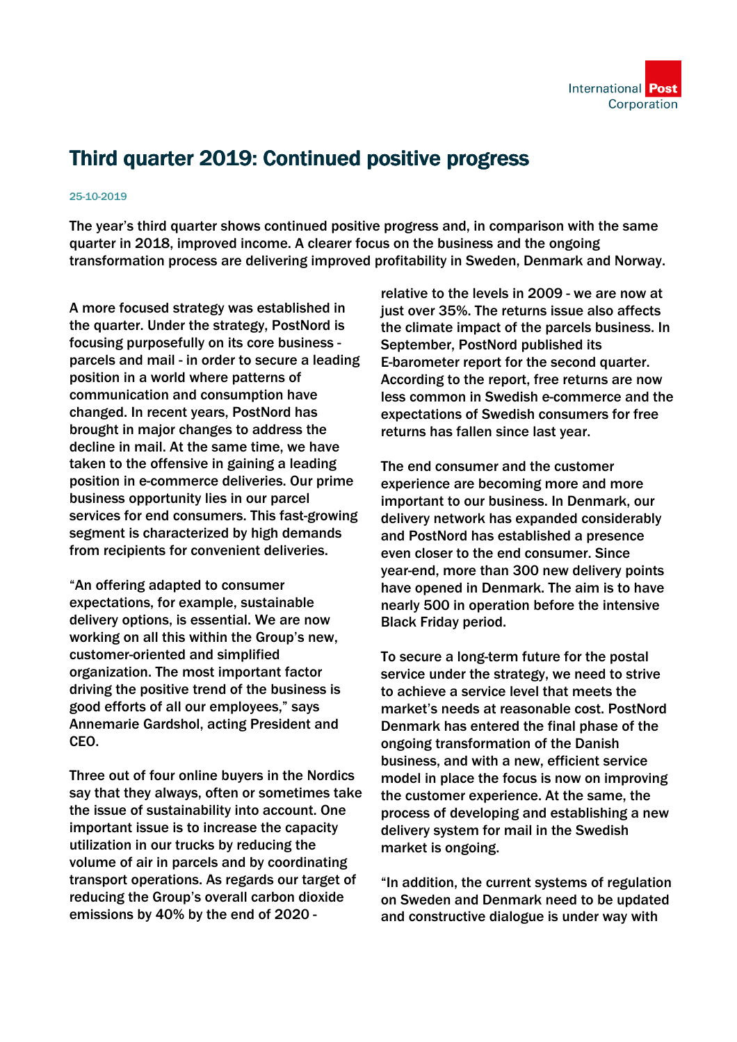

## Third quarter 2019: Continued positive progress

## 25-10-2019

The year's third quarter shows continued positive progress and, in comparison with the same quarter in 2018, improved income. A clearer focus on the business and the ongoing transformation process are delivering improved profitability in Sweden, Denmark and Norway.

A more focused strategy was established in the quarter. Under the strategy, PostNord is focusing purposefully on its core business parcels and mail - in order to secure a leading position in a world where patterns of communication and consumption have changed. In recent years, PostNord has brought in major changes to address the decline in mail. At the same time, we have taken to the offensive in gaining a leading position in e-commerce deliveries. Our prime business opportunity lies in our parcel services for end consumers. This fast-growing segment is characterized by high demands from recipients for convenient deliveries.

"An offering adapted to consumer expectations, for example, sustainable delivery options, is essential. We are now working on all this within the Group's new, customer-oriented and simplified organization. The most important factor driving the positive trend of the business is good efforts of all our employees," says Annemarie Gardshol, acting President and CEO.

Three out of four online buyers in the Nordics say that they always, often or sometimes take the issue of sustainability into account. One important issue is to increase the capacity utilization in our trucks by reducing the volume of air in parcels and by coordinating transport operations. As regards our target of reducing the Group's overall carbon dioxide emissions by 40% by the end of 2020 -

relative to the levels in 2009 - we are now at just over 35%. The returns issue also affects the climate impact of the parcels business. In September, PostNord published its E-barometer report for the second quarter. According to the report, free returns are now less common in Swedish e-commerce and the expectations of Swedish consumers for free returns has fallen since last year.

The end consumer and the customer experience are becoming more and more important to our business. In Denmark, our delivery network has expanded considerably and PostNord has established a presence even closer to the end consumer. Since year-end, more than 300 new delivery points have opened in Denmark. The aim is to have nearly 500 in operation before the intensive Black Friday period.

To secure a long-term future for the postal service under the strategy, we need to strive to achieve a service level that meets the market's needs at reasonable cost. PostNord Denmark has entered the final phase of the ongoing transformation of the Danish business, and with a new, efficient service model in place the focus is now on improving the customer experience. At the same, the process of developing and establishing a new delivery system for mail in the Swedish market is ongoing.

"In addition, the current systems of regulation on Sweden and Denmark need to be updated and constructive dialogue is under way with